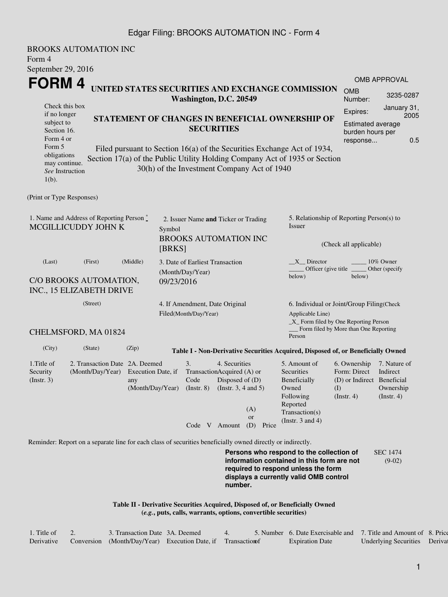## Edgar Filing: BROOKS AUTOMATION INC - Form 4

BROOKS AUTOMATION INC Form 4 September 29, 2016 **FORM 4** Check this box if no longer subject to Section 16. Form 4 or Form 5 obligations may continue. *See* Instruction  $1(h)$ . **UNITED STATES SECURITIES AND EXCHANGE COMMISSION Washington, D.C. 20549 STATEMENT OF CHANGES IN BENEFICIAL OWNERSHIP OF SECURITIES** Filed pursuant to Section 16(a) of the Securities Exchange Act of 1934, Section 17(a) of the Public Utility Holding Company Act of 1935 or Section 30(h) of the Investment Company Act of 1940 OMB APPROVAL OMB Number: 3235-0287 Expires: January 31, 2005 Estimated average burden hours per response... 0.5 (Print or Type Responses) 1. Name and Address of Reporting Person  $\degree$ MCGILLICUDDY JOHN K 2. Issuer Name **and** Ticker or Trading Symbol BROOKS AUTOMATION INC [BRKS] 5. Relationship of Reporting Person(s) to Issuer (Check all applicable)  $\text{X}$ <sub>\_</sub>Director  $\text{X}$ <sub>\_\_\_\_\_</sub> 10% Owner Officer (give title below) Other (specify below) (Last) (First) (Middle) C/O BROOKS AUTOMATION, INC., 15 ELIZABETH DRIVE 3. Date of Earliest Transaction (Month/Day/Year) 09/23/2016 (Street) CHELMSFORD, MA 01824 4. If Amendment, Date Original Filed(Month/Day/Year) 6. Individual or Joint/Group Filing(Check Applicable Line) \_X\_ Form filed by One Reporting Person Form filed by More than One Reporting Person (City) (State) (Zip) **Table I - Non-Derivative Securities Acquired, Disposed of, or Beneficially Owned** 1.Title of Security (Instr. 3) 2. Transaction Date 2A. Deemed (Month/Day/Year) Execution Date, if any (Month/Day/Year) 3. Transaction Acquired (A) or Code (Instr. 8) 4. Securities Disposed of (D) (Instr. 3, 4 and 5) 5. Amount of **Securities** Beneficially Owned Following Reported Transaction(s) (Instr. 3 and 4) 6. Ownership Form: Direct (D) or Indirect Beneficial (I) (Instr. 4) 7. Nature of Indirect Ownership (Instr. 4) Code V Amount (D) Price (A) or Reminder: Report on a separate line for each class of securities beneficially owned directly or indirectly. **Persons who respond to the collection of information contained in this form are not required to respond unless the form displays a currently valid OMB control** SEC 1474 (9-02)

> **Table II - Derivative Securities Acquired, Disposed of, or Beneficially Owned (***e.g.***, puts, calls, warrants, options, convertible securities)**

| 1. Title of | 3. Transaction Date 3A. Deemed                                |  | 5. Number 6. Date Exercisable and 7. Title and Amount of 8. Price |                               |  |
|-------------|---------------------------------------------------------------|--|-------------------------------------------------------------------|-------------------------------|--|
| Derivative  | Conversion (Month/Day/Year) Execution Date, if Transaction of |  | <b>Expiration Date</b>                                            | Underlying Securities Derival |  |

**number.**